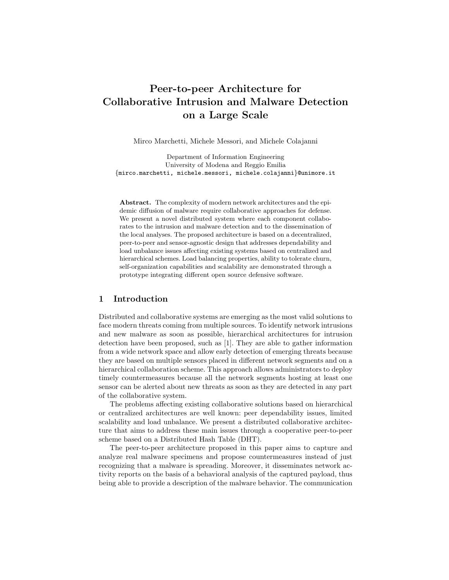# Peer-to-peer Architecture for Collaborative Intrusion and Malware Detection on a Large Scale

Mirco Marchetti, Michele Messori, and Michele Colajanni

Department of Information Engineering University of Modena and Reggio Emilia {mirco.marchetti, michele.messori, michele.colajanni}@unimore.it

Abstract. The complexity of modern network architectures and the epidemic diffusion of malware require collaborative approaches for defense. We present a novel distributed system where each component collaborates to the intrusion and malware detection and to the dissemination of the local analyses. The proposed architecture is based on a decentralized, peer-to-peer and sensor-agnostic design that addresses dependability and load unbalance issues affecting existing systems based on centralized and hierarchical schemes. Load balancing properties, ability to tolerate churn, self-organization capabilities and scalability are demonstrated through a prototype integrating different open source defensive software.

# 1 Introduction

Distributed and collaborative systems are emerging as the most valid solutions to face modern threats coming from multiple sources. To identify network intrusions and new malware as soon as possible, hierarchical architectures for intrusion detection have been proposed, such as [1]. They are able to gather information from a wide network space and allow early detection of emerging threats because they are based on multiple sensors placed in different network segments and on a hierarchical collaboration scheme. This approach allows administrators to deploy timely countermeasures because all the network segments hosting at least one sensor can be alerted about new threats as soon as they are detected in any part of the collaborative system.

The problems affecting existing collaborative solutions based on hierarchical or centralized architectures are well known: peer dependability issues, limited scalability and load unbalance. We present a distributed collaborative architecture that aims to address these main issues through a cooperative peer-to-peer scheme based on a Distributed Hash Table (DHT).

The peer-to-peer architecture proposed in this paper aims to capture and analyze real malware specimens and propose countermeasures instead of just recognizing that a malware is spreading. Moreover, it disseminates network activity reports on the basis of a behavioral analysis of the captured payload, thus being able to provide a description of the malware behavior. The communication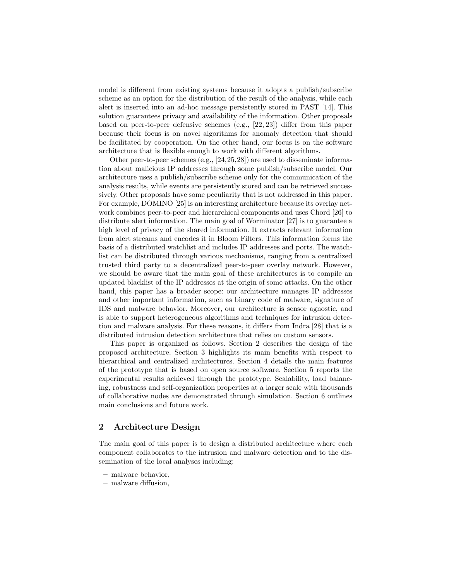model is different from existing systems because it adopts a publish/subscribe scheme as an option for the distribution of the result of the analysis, while each alert is inserted into an ad-hoc message persistently stored in PAST [14]. This solution guarantees privacy and availability of the information. Other proposals based on peer-to-peer defensive schemes (e.g., [22, 23]) differ from this paper because their focus is on novel algorithms for anomaly detection that should be facilitated by cooperation. On the other hand, our focus is on the software architecture that is flexible enough to work with different algorithms.

Other peer-to-peer schemes (e.g., [24,25,28]) are used to disseminate information about malicious IP addresses through some publish/subscribe model. Our architecture uses a publish/subscribe scheme only for the communication of the analysis results, while events are persistently stored and can be retrieved successively. Other proposals have some peculiarity that is not addressed in this paper. For example, DOMINO [25] is an interesting architecture because its overlay network combines peer-to-peer and hierarchical components and uses Chord [26] to distribute alert information. The main goal of Worminator [27] is to guarantee a high level of privacy of the shared information. It extracts relevant information from alert streams and encodes it in Bloom Filters. This information forms the basis of a distributed watchlist and includes IP addresses and ports. The watchlist can be distributed through various mechanisms, ranging from a centralized trusted third party to a decentralized peer-to-peer overlay network. However, we should be aware that the main goal of these architectures is to compile an updated blacklist of the IP addresses at the origin of some attacks. On the other hand, this paper has a broader scope: our architecture manages IP addresses and other important information, such as binary code of malware, signature of IDS and malware behavior. Moreover, our architecture is sensor agnostic, and is able to support heterogeneous algorithms and techniques for intrusion detection and malware analysis. For these reasons, it differs from Indra [28] that is a distributed intrusion detection architecture that relies on custom sensors.

This paper is organized as follows. Section 2 describes the design of the proposed architecture. Section 3 highlights its main benefits with respect to hierarchical and centralized architectures. Section 4 details the main features of the prototype that is based on open source software. Section 5 reports the experimental results achieved through the prototype. Scalability, load balancing, robustness and self-organization properties at a larger scale with thousands of collaborative nodes are demonstrated through simulation. Section 6 outlines main conclusions and future work.

# 2 Architecture Design

The main goal of this paper is to design a distributed architecture where each component collaborates to the intrusion and malware detection and to the dissemination of the local analyses including:

- malware behavior,
- malware diffusion,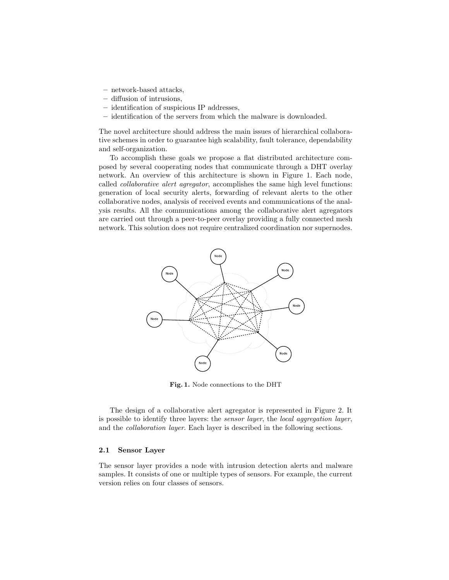- network-based attacks,
- diffusion of intrusions,
- identification of suspicious IP addresses,
- identification of the servers from which the malware is downloaded.

The novel architecture should address the main issues of hierarchical collaborative schemes in order to guarantee high scalability, fault tolerance, dependability and self-organization.

To accomplish these goals we propose a flat distributed architecture composed by several cooperating nodes that communicate through a DHT overlay network. An overview of this architecture is shown in Figure 1. Each node, called collaborative alert agregator, accomplishes the same high level functions: generation of local security alerts, forwarding of relevant alerts to the other collaborative nodes, analysis of received events and communications of the analysis results. All the communications among the collaborative alert agregators are carried out through a peer-to-peer overlay providing a fully connected mesh network. This solution does not require centralized coordination nor supernodes.



Fig. 1. Node connections to the DHT

The design of a collaborative alert agregator is represented in Figure 2. It is possible to identify three layers: the sensor layer, the local aggregation layer, and the collaboration layer. Each layer is described in the following sections.

## 2.1 Sensor Layer

The sensor layer provides a node with intrusion detection alerts and malware samples. It consists of one or multiple types of sensors. For example, the current version relies on four classes of sensors.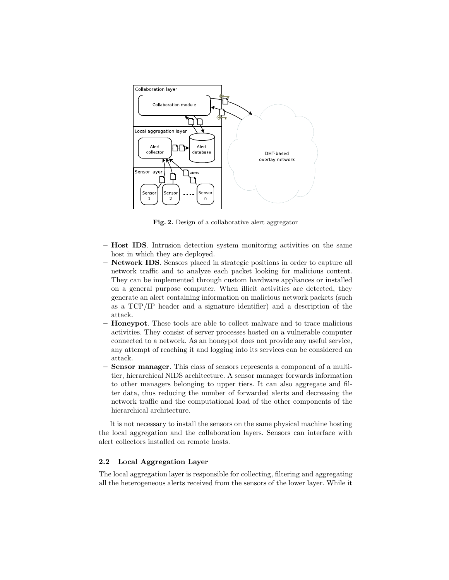

Fig. 2. Design of a collaborative alert aggregator

- Host IDS. Intrusion detection system monitoring activities on the same host in which they are deployed.
- Network IDS. Sensors placed in strategic positions in order to capture all network traffic and to analyze each packet looking for malicious content. They can be implemented through custom hardware appliances or installed on a general purpose computer. When illicit activities are detected, they generate an alert containing information on malicious network packets (such as a TCP/IP header and a signature identifier) and a description of the attack.
- Honeypot. These tools are able to collect malware and to trace malicious activities. They consist of server processes hosted on a vulnerable computer connected to a network. As an honeypot does not provide any useful service, any attempt of reaching it and logging into its services can be considered an attack.
- Sensor manager. This class of sensors represents a component of a multitier, hierarchical NIDS architecture. A sensor manager forwards information to other managers belonging to upper tiers. It can also aggregate and filter data, thus reducing the number of forwarded alerts and decreasing the network traffic and the computational load of the other components of the hierarchical architecture.

It is not necessary to install the sensors on the same physical machine hosting the local aggregation and the collaboration layers. Sensors can interface with alert collectors installed on remote hosts.

# 2.2 Local Aggregation Layer

The local aggregation layer is responsible for collecting, filtering and aggregating all the heterogeneous alerts received from the sensors of the lower layer. While it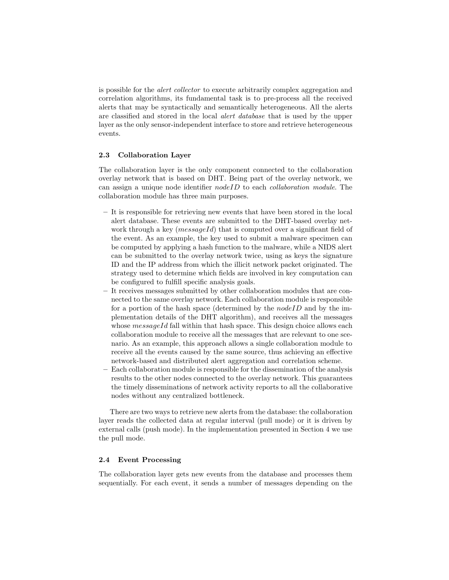is possible for the alert collector to execute arbitrarily complex aggregation and correlation algorithms, its fundamental task is to pre-process all the received alerts that may be syntactically and semantically heterogeneous. All the alerts are classified and stored in the local alert database that is used by the upper layer as the only sensor-independent interface to store and retrieve heterogeneous events.

## 2.3 Collaboration Layer

The collaboration layer is the only component connected to the collaboration overlay network that is based on DHT. Being part of the overlay network, we can assign a unique node identifier  $nodeID$  to each *collaboration module*. The collaboration module has three main purposes.

- It is responsible for retrieving new events that have been stored in the local alert database. These events are submitted to the DHT-based overlay network through a key (*messageId*) that is computed over a significant field of the event. As an example, the key used to submit a malware specimen can be computed by applying a hash function to the malware, while a NIDS alert can be submitted to the overlay network twice, using as keys the signature ID and the IP address from which the illicit network packet originated. The strategy used to determine which fields are involved in key computation can be configured to fulfill specific analysis goals.
- It receives messages submitted by other collaboration modules that are connected to the same overlay network. Each collaboration module is responsible for a portion of the hash space (determined by the  $nodeID$  and by the implementation details of the DHT algorithm), and receives all the messages whose  $messageId$  fall within that hash space. This design choice allows each collaboration module to receive all the messages that are relevant to one scenario. As an example, this approach allows a single collaboration module to receive all the events caused by the same source, thus achieving an effective network-based and distributed alert aggregation and correlation scheme.
- Each collaboration module is responsible for the dissemination of the analysis results to the other nodes connected to the overlay network. This guarantees the timely disseminations of network activity reports to all the collaborative nodes without any centralized bottleneck.

There are two ways to retrieve new alerts from the database: the collaboration layer reads the collected data at regular interval (pull mode) or it is driven by external calls (push mode). In the implementation presented in Section 4 we use the pull mode.

## 2.4 Event Processing

The collaboration layer gets new events from the database and processes them sequentially. For each event, it sends a number of messages depending on the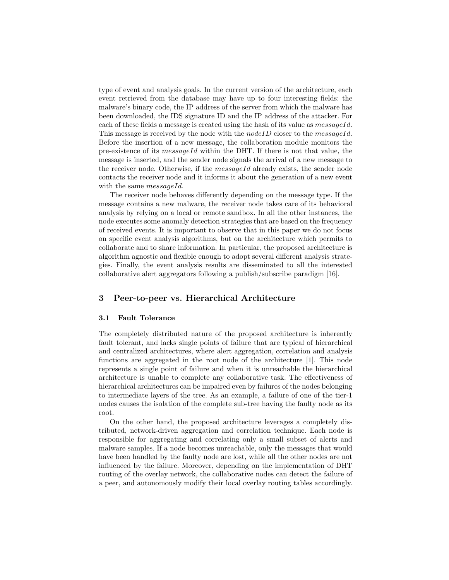type of event and analysis goals. In the current version of the architecture, each event retrieved from the database may have up to four interesting fields: the malware's binary code, the IP address of the server from which the malware has been downloaded, the IDS signature ID and the IP address of the attacker. For each of these fields a message is created using the hash of its value as  $messageId$ . This message is received by the node with the nodeID closer to the messageId. Before the insertion of a new message, the collaboration module monitors the pre-existence of its  $messageId$  within the DHT. If there is not that value, the message is inserted, and the sender node signals the arrival of a new message to the receiver node. Otherwise, if the *messageId* already exists, the sender node contacts the receiver node and it informs it about the generation of a new event with the same  $messageId$ .

The receiver node behaves differently depending on the message type. If the message contains a new malware, the receiver node takes care of its behavioral analysis by relying on a local or remote sandbox. In all the other instances, the node executes some anomaly detection strategies that are based on the frequency of received events. It is important to observe that in this paper we do not focus on specific event analysis algorithms, but on the architecture which permits to collaborate and to share information. In particular, the proposed architecture is algorithm agnostic and flexible enough to adopt several different analysis strategies. Finally, the event analysis results are disseminated to all the interested collaborative alert aggregators following a publish/subscribe paradigm [16].

# 3 Peer-to-peer vs. Hierarchical Architecture

# 3.1 Fault Tolerance

The completely distributed nature of the proposed architecture is inherently fault tolerant, and lacks single points of failure that are typical of hierarchical and centralized architectures, where alert aggregation, correlation and analysis functions are aggregated in the root node of the architecture [1]. This node represents a single point of failure and when it is unreachable the hierarchical architecture is unable to complete any collaborative task. The effectiveness of hierarchical architectures can be impaired even by failures of the nodes belonging to intermediate layers of the tree. As an example, a failure of one of the tier-1 nodes causes the isolation of the complete sub-tree having the faulty node as its root.

On the other hand, the proposed architecture leverages a completely distributed, network-driven aggregation and correlation technique. Each node is responsible for aggregating and correlating only a small subset of alerts and malware samples. If a node becomes unreachable, only the messages that would have been handled by the faulty node are lost, while all the other nodes are not influenced by the failure. Moreover, depending on the implementation of DHT routing of the overlay network, the collaborative nodes can detect the failure of a peer, and autonomously modify their local overlay routing tables accordingly.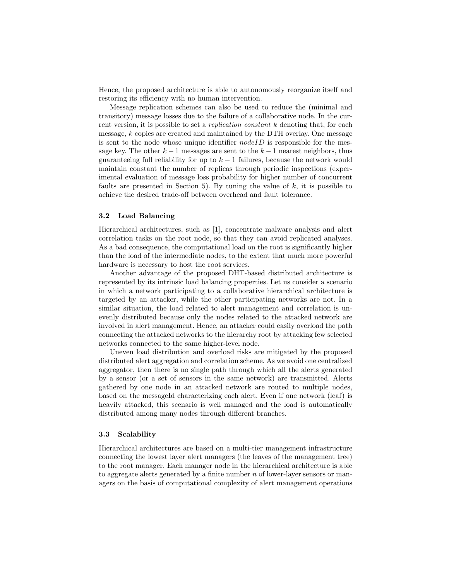Hence, the proposed architecture is able to autonomously reorganize itself and restoring its efficiency with no human intervention.

Message replication schemes can also be used to reduce the (minimal and transitory) message losses due to the failure of a collaborative node. In the current version, it is possible to set a *replication constant k* denoting that, for each message,  $k$  copies are created and maintained by the DTH overlay. One message is sent to the node whose unique identifier  $nodeID$  is responsible for the message key. The other  $k-1$  messages are sent to the  $k-1$  nearest neighbors, thus guaranteeing full reliability for up to  $k-1$  failures, because the network would maintain constant the number of replicas through periodic inspections (experimental evaluation of message loss probability for higher number of concurrent faults are presented in Section 5). By tuning the value of  $k$ , it is possible to achieve the desired trade-off between overhead and fault tolerance.

#### 3.2 Load Balancing

Hierarchical architectures, such as [1], concentrate malware analysis and alert correlation tasks on the root node, so that they can avoid replicated analyses. As a bad consequence, the computational load on the root is significantly higher than the load of the intermediate nodes, to the extent that much more powerful hardware is necessary to host the root services.

Another advantage of the proposed DHT-based distributed architecture is represented by its intrinsic load balancing properties. Let us consider a scenario in which a network participating to a collaborative hierarchical architecture is targeted by an attacker, while the other participating networks are not. In a similar situation, the load related to alert management and correlation is unevenly distributed because only the nodes related to the attacked network are involved in alert management. Hence, an attacker could easily overload the path connecting the attacked networks to the hierarchy root by attacking few selected networks connected to the same higher-level node.

Uneven load distribution and overload risks are mitigated by the proposed distributed alert aggregation and correlation scheme. As we avoid one centralized aggregator, then there is no single path through which all the alerts generated by a sensor (or a set of sensors in the same network) are transmitted. Alerts gathered by one node in an attacked network are routed to multiple nodes, based on the messageId characterizing each alert. Even if one network (leaf) is heavily attacked, this scenario is well managed and the load is automatically distributed among many nodes through different branches.

#### 3.3 Scalability

Hierarchical architectures are based on a multi-tier management infrastructure connecting the lowest layer alert managers (the leaves of the management tree) to the root manager. Each manager node in the hierarchical architecture is able to aggregate alerts generated by a finite number  $n$  of lower-layer sensors or managers on the basis of computational complexity of alert management operations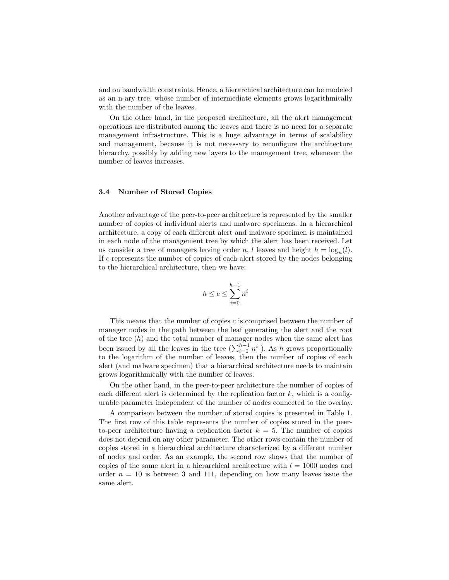and on bandwidth constraints. Hence, a hierarchical architecture can be modeled as an n-ary tree, whose number of intermediate elements grows logarithmically with the number of the leaves.

On the other hand, in the proposed architecture, all the alert management operations are distributed among the leaves and there is no need for a separate management infrastructure. This is a huge advantage in terms of scalability and management, because it is not necessary to reconfigure the architecture hierarchy, possibly by adding new layers to the management tree, whenever the number of leaves increases.

## 3.4 Number of Stored Copies

Another advantage of the peer-to-peer architecture is represented by the smaller number of copies of individual alerts and malware specimens. In a hierarchical architecture, a copy of each different alert and malware specimen is maintained in each node of the management tree by which the alert has been received. Let us consider a tree of managers having order n, l leaves and height  $h = \log_n(l)$ . If c represents the number of copies of each alert stored by the nodes belonging to the hierarchical architecture, then we have:

$$
h \le c \le \sum_{i=0}^{h-1} n^i
$$

This means that the number of copies  $c$  is comprised between the number of manager nodes in the path between the leaf generating the alert and the root of the tree  $(h)$  and the total number of manager nodes when the same alert has been issued by all the leaves in the tree  $(\sum_{i=0}^{h-1} n^i)$ . As h grows proportionally to the logarithm of the number of leaves, then the number of copies of each alert (and malware specimen) that a hierarchical architecture needs to maintain grows logarithmically with the number of leaves.

On the other hand, in the peer-to-peer architecture the number of copies of each different alert is determined by the replication factor  $k$ , which is a configurable parameter independent of the number of nodes connected to the overlay.

A comparison between the number of stored copies is presented in Table 1. The first row of this table represents the number of copies stored in the peerto-peer architecture having a replication factor  $k = 5$ . The number of copies does not depend on any other parameter. The other rows contain the number of copies stored in a hierarchical architecture characterized by a different number of nodes and order. As an example, the second row shows that the number of copies of the same alert in a hierarchical architecture with  $l = 1000$  nodes and order  $n = 10$  is between 3 and 111, depending on how many leaves issue the same alert.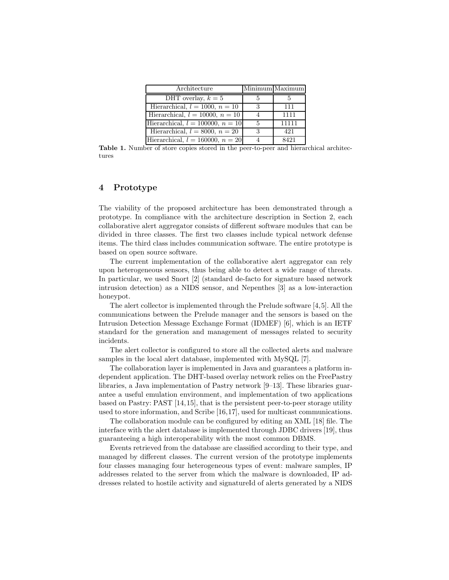| Architecture                          |   | Minimum Maximum |
|---------------------------------------|---|-----------------|
| DHT overlay, $k=5$                    | 5 |                 |
| Hierarchical, $l = 1000$ , $n = 10$   | 3 | 111             |
| Hierarchical, $l = 10000$ , $n = 10$  |   | 1111            |
| Hierarchical, $l = 100000$ , $n = 10$ | 5 | 11111           |
| Hierarchical, $l = 8000$ , $n = 20$   | 3 | 421             |
| Hierarchical, $l = 160000$ , $n = 20$ |   | 8421            |

Table 1. Number of store copies stored in the peer-to-peer and hierarchical architectures

## 4 Prototype

The viability of the proposed architecture has been demonstrated through a prototype. In compliance with the architecture description in Section 2, each collaborative alert aggregator consists of different software modules that can be divided in three classes. The first two classes include typical network defense items. The third class includes communication software. The entire prototype is based on open source software.

The current implementation of the collaborative alert aggregator can rely upon heterogeneous sensors, thus being able to detect a wide range of threats. In particular, we used Snort [2] (standard de-facto for signature based network intrusion detection) as a NIDS sensor, and Nepenthes [3] as a low-interaction honeypot.

The alert collector is implemented through the Prelude software [4,5]. All the communications between the Prelude manager and the sensors is based on the Intrusion Detection Message Exchange Format (IDMEF) [6], which is an IETF standard for the generation and management of messages related to security incidents.

The alert collector is configured to store all the collected alerts and malware samples in the local alert database, implemented with MySQL [7].

The collaboration layer is implemented in Java and guarantees a platform independent application. The DHT-based overlay network relies on the FreePastry libraries, a Java implementation of Pastry network [9–13]. These libraries guarantee a useful emulation environment, and implementation of two applications based on Pastry: PAST [14,15], that is the persistent peer-to-peer storage utility used to store information, and Scribe [16,17], used for multicast communications.

The collaboration module can be configured by editing an XML [18] file. The interface with the alert database is implemented through JDBC drivers [19], thus guaranteeing a high interoperability with the most common DBMS.

Events retrieved from the database are classified according to their type, and managed by different classes. The current version of the prototype implements four classes managing four heterogeneous types of event: malware samples, IP addresses related to the server from which the malware is downloaded, IP addresses related to hostile activity and signatureId of alerts generated by a NIDS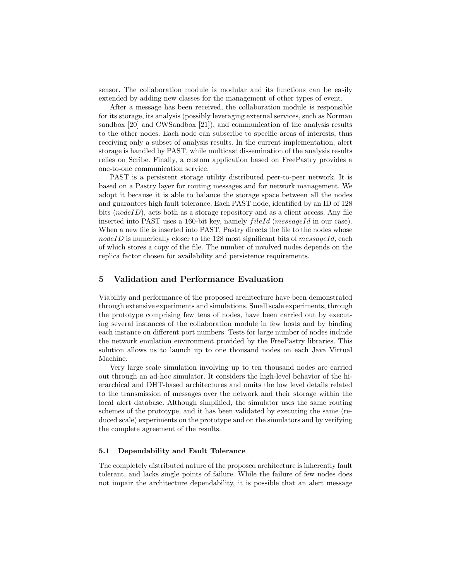sensor. The collaboration module is modular and its functions can be easily extended by adding new classes for the management of other types of event.

After a message has been received, the collaboration module is responsible for its storage, its analysis (possibly leveraging external services, such as Norman sandbox [20] and CWSandbox [21]), and communication of the analysis results to the other nodes. Each node can subscribe to specific areas of interests, thus receiving only a subset of analysis results. In the current implementation, alert storage is handled by PAST, while multicast dissemination of the analysis results relies on Scribe. Finally, a custom application based on FreePastry provides a one-to-one communication service.

PAST is a persistent storage utility distributed peer-to-peer network. It is based on a Pastry layer for routing messages and for network management. We adopt it because it is able to balance the storage space between all the nodes and guarantees high fault tolerance. Each PAST node, identified by an ID of 128 bits  $(nodeID)$ , acts both as a storage repository and as a client access. Any file inserted into PAST uses a 160-bit key, namely *fileId* (messageId in our case). When a new file is inserted into PAST, Pastry directs the file to the nodes whose  $nodeID$  is numerically closer to the 128 most significant bits of  $messageId$ , each of which stores a copy of the file. The number of involved nodes depends on the replica factor chosen for availability and persistence requirements.

# 5 Validation and Performance Evaluation

Viability and performance of the proposed architecture have been demonstrated through extensive experiments and simulations. Small scale experiments, through the prototype comprising few tens of nodes, have been carried out by executing several instances of the collaboration module in few hosts and by binding each instance on different port numbers. Tests for large number of nodes include the network emulation environment provided by the FreePastry libraries. This solution allows us to launch up to one thousand nodes on each Java Virtual Machine.

Very large scale simulation involving up to ten thousand nodes are carried out through an ad-hoc simulator. It considers the high-level behavior of the hierarchical and DHT-based architectures and omits the low level details related to the transmission of messages over the network and their storage within the local alert database. Although simplified, the simulator uses the same routing schemes of the prototype, and it has been validated by executing the same (reduced scale) experiments on the prototype and on the simulators and by verifying the complete agreement of the results.

## 5.1 Dependability and Fault Tolerance

The completely distributed nature of the proposed architecture is inherently fault tolerant, and lacks single points of failure. While the failure of few nodes does not impair the architecture dependability, it is possible that an alert message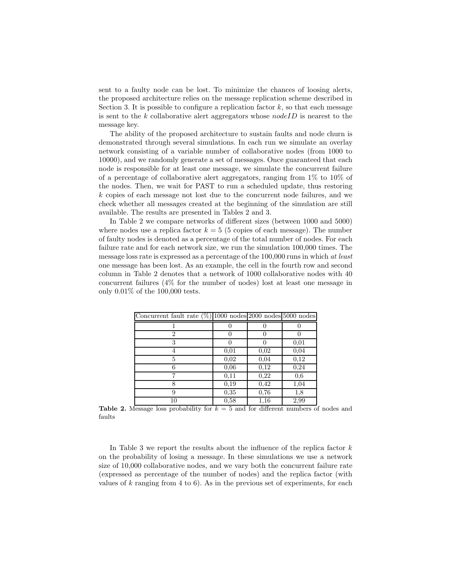sent to a faulty node can be lost. To minimize the chances of loosing alerts, the proposed architecture relies on the message replication scheme described in Section 3. It is possible to configure a replication factor  $k$ , so that each message is sent to the  $k$  collaborative alert aggregators whose nodeID is nearest to the message key.

The ability of the proposed architecture to sustain faults and node churn is demonstrated through several simulations. In each run we simulate an overlay network consisting of a variable number of collaborative nodes (from 1000 to 10000), and we randomly generate a set of messages. Once guaranteed that each node is responsible for at least one message, we simulate the concurrent failure of a percentage of collaborative alert aggregators, ranging from 1% to 10% of the nodes. Then, we wait for PAST to run a scheduled update, thus restoring k copies of each message not lost due to the concurrent node failures, and we check whether all messages created at the beginning of the simulation are still available. The results are presented in Tables 2 and 3.

In Table 2 we compare networks of different sizes (between 1000 and 5000) where nodes use a replica factor  $k = 5$  (5 copies of each message). The number of faulty nodes is denoted as a percentage of the total number of nodes. For each failure rate and for each network size, we run the simulation 100,000 times. The message loss rate is expressed as a percentage of the 100,000 runs in which at least one message has been lost. As an example, the cell in the fourth row and second column in Table 2 denotes that a network of 1000 collaborative nodes with 40 concurrent failures (4% for the number of nodes) lost at least one message in only 0.01% of the 100,000 tests.

| Concurrent fault rate $(\%)$ 1000 nodes 2000 nodes 5000 nodes |      |                   |      |
|---------------------------------------------------------------|------|-------------------|------|
|                                                               |      |                   |      |
| 2                                                             |      |                   |      |
| 3                                                             |      |                   | 0,01 |
|                                                               | 0,01 | 0,02              | 0,04 |
| 5                                                             | 0,02 | 0,04              | 0,12 |
| 6                                                             | 0,06 | 0,12              | 0,24 |
|                                                               | 0,11 | 0,22              | 0,6  |
| 8                                                             | 0,19 | 0,42              | 1,04 |
| 9                                                             | 0,35 | $0,\overline{76}$ | 1,8  |
| 10                                                            | 0,58 | 1,16              | 2,99 |

**Table 2.** Message loss probability for  $k = 5$  and for different numbers of nodes and faults

In Table 3 we report the results about the influence of the replica factor k on the probability of losing a message. In these simulations we use a network size of 10,000 collaborative nodes, and we vary both the concurrent failure rate (expressed as percentage of the number of nodes) and the replica factor (with values of  $k$  ranging from 4 to 6). As in the previous set of experiments, for each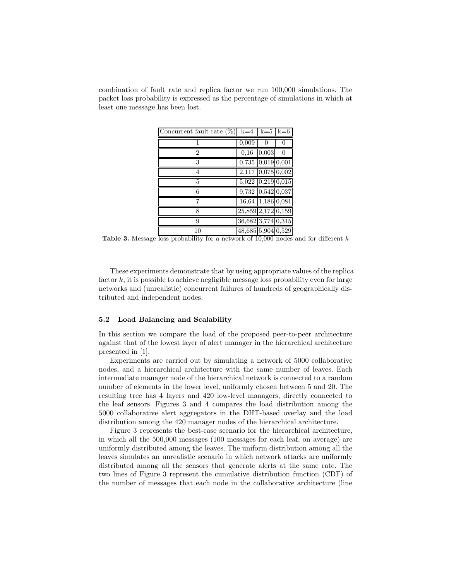combination of fault rate and replica factor we run 100,000 simulations. The packet loss probability is expressed as the percentage of simulations in which at least one message has been lost.

| Concurrent fault rate $(\%)$ | $k=4$               | $k=5$   $k=6$ |   |
|------------------------------|---------------------|---------------|---|
|                              | 0,009               |               | 0 |
| 2                            | 0.16                | 0,003         | 0 |
| 3                            | $0,735$ 0,019 0,001 |               |   |
|                              | 2,117 0,075 0,002   |               |   |
| 5                            | 5,022 0,219 0,015   |               |   |
| 6                            | 9,732 0,542 0,037   |               |   |
|                              | $16,64$ 1,186 0,081 |               |   |
| 8                            | 25,859 2,172 0,159  |               |   |
| 9                            | 36,682 3,774 0,315  |               |   |
| 10                           | 48,685 5,904 0,529  |               |   |

**Table 3.** Message loss probability for a network of 10,000 nodes and for different  $k$ 

These experiments demonstrate that by using appropriate values of the replica factor  $k$ , it is possible to achieve negligible message loss probability even for large networks and (unrealistic) concurrent failures of hundreds of geographically distributed and independent nodes.

### 5.2 Load Balancing and Scalability

In this section we compare the load of the proposed peer-to-peer architecture against that of the lowest layer of alert manager in the hierarchical architecture presented in [1].

Experiments are carried out by simulating a network of 5000 collaborative nodes, and a hierarchical architecture with the same number of leaves. Each intermediate manager node of the hierarchical network is connected to a random number of elements in the lower level, uniformly chosen between 5 and 20. The resulting tree has 4 layers and 420 low-level managers, directly connected to the leaf sensors. Figures 3 and 4 compares the load distribution among the 5000 collaborative alert aggregators in the DHT-based overlay and the load distribution among the 420 manager nodes of the hierarchical architecture.

Figure 3 represents the best-case scenario for the hierarchical architecture, in which all the 500,000 messages (100 messages for each leaf, on average) are uniformly distributed among the leaves. The uniform distribution among all the leaves simulates an unrealistic scenario in which network attacks are uniformly distributed among all the sensors that generate alerts at the same rate. The two lines of Figure 3 represent the cumulative distribution function (CDF) of the number of messages that each node in the collaborative architecture (line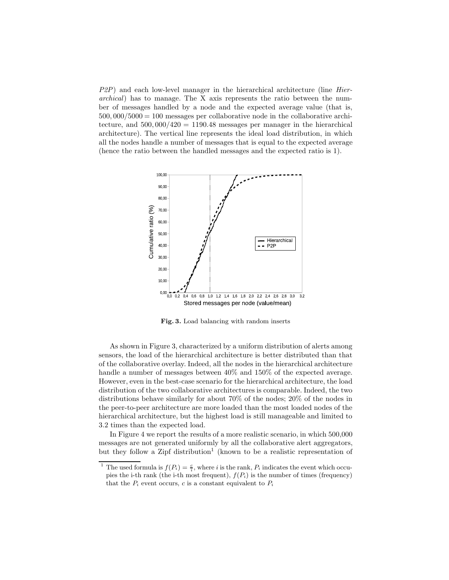P2P) and each low-level manager in the hierarchical architecture (line Hierarchical) has to manage. The X axis represents the ratio between the number of messages handled by a node and the expected average value (that is,  $500,000/5000 = 100$  messages per collaborative node in the collaborative architecture, and  $500,000/420 = 1190.48$  messages per manager in the hierarchical architecture). The vertical line represents the ideal load distribution, in which all the nodes handle a number of messages that is equal to the expected average (hence the ratio between the handled messages and the expected ratio is 1).



Fig. 3. Load balancing with random inserts

As shown in Figure 3, characterized by a uniform distribution of alerts among sensors, the load of the hierarchical architecture is better distributed than that of the collaborative overlay. Indeed, all the nodes in the hierarchical architecture handle a number of messages between  $40\%$  and  $150\%$  of the expected average. However, even in the best-case scenario for the hierarchical architecture, the load distribution of the two collaborative architectures is comparable. Indeed, the two distributions behave similarly for about 70% of the nodes; 20% of the nodes in the peer-to-peer architecture are more loaded than the most loaded nodes of the hierarchical architecture, but the highest load is still manageable and limited to 3.2 times than the expected load.

In Figure 4 we report the results of a more realistic scenario, in which 500,000 messages are not generated uniformly by all the collaborative alert aggregators, but they follow a Zipf distribution<sup>1</sup> (known to be a realistic representation of

<sup>&</sup>lt;sup>1</sup> The used formula is  $f(P_i) = \frac{c}{i}$ , where *i* is the rank,  $P_i$  indicates the event which occupies the i-th rank (the i-th most frequent),  $f(P_i)$  is the number of times (frequency) that the  $P_i$  event occurs, c is a constant equivalent to  $P_i$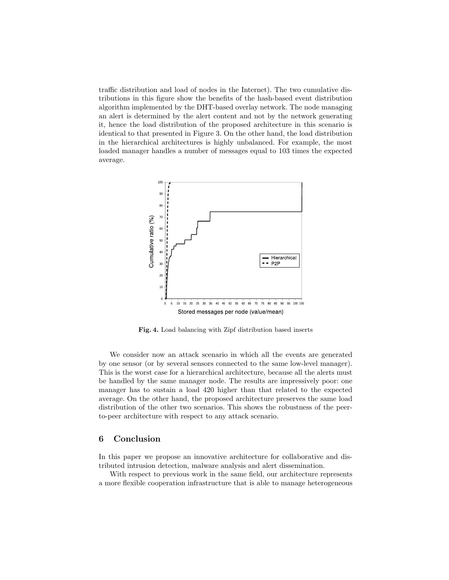traffic distribution and load of nodes in the Internet). The two cumulative distributions in this figure show the benefits of the hash-based event distribution algorithm implemented by the DHT-based overlay network. The node managing an alert is determined by the alert content and not by the network generating it, hence the load distribution of the proposed architecture in this scenario is identical to that presented in Figure 3. On the other hand, the load distribution in the hierarchical architectures is highly unbalanced. For example, the most loaded manager handles a number of messages equal to 103 times the expected average.



Fig. 4. Load balancing with Zipf distribution based inserts

We consider now an attack scenario in which all the events are generated by one sensor (or by several sensors connected to the same low-level manager). This is the worst case for a hierarchical architecture, because all the alerts must be handled by the same manager node. The results are impressively poor: one manager has to sustain a load 420 higher than that related to the expected average. On the other hand, the proposed architecture preserves the same load distribution of the other two scenarios. This shows the robustness of the peerto-peer architecture with respect to any attack scenario.

# 6 Conclusion

In this paper we propose an innovative architecture for collaborative and distributed intrusion detection, malware analysis and alert dissemination.

With respect to previous work in the same field, our architecture represents a more flexible cooperation infrastructure that is able to manage heterogeneous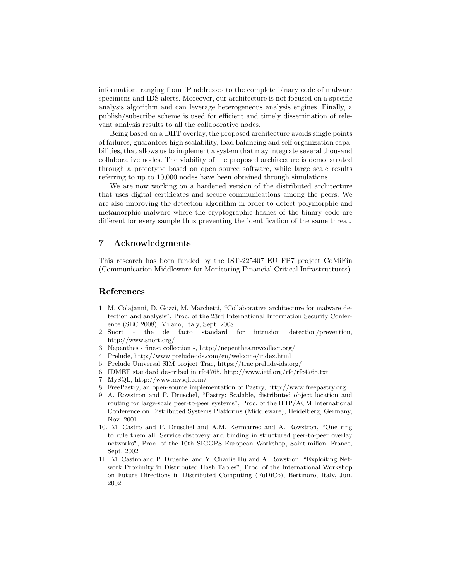information, ranging from IP addresses to the complete binary code of malware specimens and IDS alerts. Moreover, our architecture is not focused on a specific analysis algorithm and can leverage heterogeneous analysis engines. Finally, a publish/subscribe scheme is used for efficient and timely dissemination of relevant analysis results to all the collaborative nodes.

Being based on a DHT overlay, the proposed architecture avoids single points of failures, guarantees high scalability, load balancing and self organization capabilities, that allows us to implement a system that may integrate several thousand collaborative nodes. The viability of the proposed architecture is demonstrated through a prototype based on open source software, while large scale results referring to up to 10,000 nodes have been obtained through simulations.

We are now working on a hardened version of the distributed architecture that uses digital certificates and secure communications among the peers. We are also improving the detection algorithm in order to detect polymorphic and metamorphic malware where the cryptographic hashes of the binary code are different for every sample thus preventing the identification of the same threat.

# 7 Acknowledgments

This research has been funded by the IST-225407 EU FP7 project CoMiFin (Communication Middleware for Monitoring Financial Critical Infrastructures).

## References

- 1. M. Colajanni, D. Gozzi, M. Marchetti, "Collaborative architecture for malware detection and analysis", Proc. of the 23rd International Information Security Conference (SEC 2008), Milano, Italy, Sept. 2008.
- 2. Snort the de facto standard for intrusion detection/prevention, http://www.snort.org/
- 3. Nepenthes finest collection -, http://nepenthes.mwcollect.org/
- 4. Prelude, http://www.prelude-ids.com/en/welcome/index.html
- 5. Prelude Universal SIM project Trac, https://trac.prelude-ids.org/
- 6. IDMEF standard described in rfc4765, http://www.ietf.org/rfc/rfc4765.txt
- 7. MySQL, http://www.mysql.com/
- 8. FreePastry, an open-source implementation of Pastry, http://www.freepastry.org
- 9. A. Rowstron and P. Druschel, "Pastry: Scalable, distributed object location and routing for large-scale peer-to-peer systems", Proc. of the IFIP/ACM International Conference on Distributed Systems Platforms (Middleware), Heidelberg, Germany, Nov. 2001
- 10. M. Castro and P. Druschel and A.M. Kermarrec and A. Rowstron, "One ring to rule them all: Service discovery and binding in structured peer-to-peer overlay networks", Proc. of the 10th SIGOPS European Workshop, Saint-milion, France, Sept. 2002
- 11. M. Castro and P. Druschel and Y. Charlie Hu and A. Rowstron, "Exploiting Network Proximity in Distributed Hash Tables", Proc. of the International Workshop on Future Directions in Distributed Computing (FuDiCo), Bertinoro, Italy, Jun. 2002